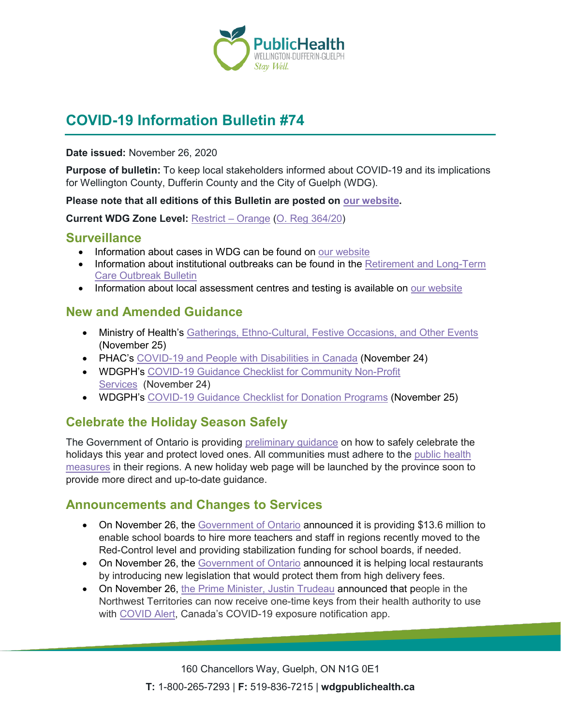

# **COVID-19 Information Bulletin #74**

#### **Date issued:** November 26, 2020

**Purpose of bulletin:** To keep local stakeholders informed about COVID-19 and its implications for Wellington County, Dufferin County and the City of Guelph (WDG).

#### **Please note that all editions of this Bulletin are posted on [our website.](https://www.wdgpublichealth.ca/your-health/covid-19-information-workplaces-and-living-spaces/community-stakeholder-bulletins)**

**Current WDG Zone Level:** [Restrict –](https://www.ontario.ca/page/covid-19-response-framework-keeping-ontario-safe-and-open#orange) Orange [\(O. Reg 364/20\)](https://www.ontario.ca/laws/regulation/200364)

### **Surveillance**

- Information about cases in WDG can be found on [our website](https://wdgpublichealth.ca/your-health/covid-19-information-public/status-cases-wdg)
- Information about institutional outbreaks can be found in the Retirement and Long-Term [Care Outbreak Bulletin](https://wdgpublichealth.ca/node/1542)
- Information about local assessment centres and testing is available on [our website](https://www.wdgpublichealth.ca/your-health/covid-19-information-public/assessment-centres-wdg)

### **New and Amended Guidance**

- Ministry of Health's [Gatherings, Ethno-Cultural, Festive Occasions, and Other Events](http://www.health.gov.on.ca/en/pro/programs/publichealth/coronavirus/docs/holiday_gathering_advice.pdf) (November 25)
- PHAC's [COVID-19 and People with Disabilities in Canada](https://www.canada.ca/en/public-health/services/diseases/2019-novel-coronavirus-infection/guidance-documents/people-with-disabilities.html) (November 24)
- WDGPH's COVID-19 [Guidance Checklist for Community Non-Profit](https://www.wdgpublichealth.ca/sites/default/files/covid-19_checklist_for_community_non-profit_services_-_orange.pdf)  [Services](https://www.wdgpublichealth.ca/sites/default/files/covid-19_checklist_for_community_non-profit_services_-_orange.pdf) (November 24)
- WDGPH's [COVID-19 Guidance Checklist for Donation Programs](https://wdgpublichealth.ca/sites/default/files/wdgph_covid-19_guidance_checklist_for_donation_programs_nov._24_2020.pdf) (November 25)

# **Celebrate the Holiday Season Safely**

The Government of Ontario is providing [preliminary guidance](https://news.ontario.ca/en/release/59338/celebrate-the-holiday-season-safely) on how to safely celebrate the holidays this year and protect loved ones. All communities must adhere to the [public health](https://www.ontario.ca/page/covid-19-response-framework-keeping-ontario-safe-and-open#levels)  [measures](https://www.ontario.ca/page/covid-19-response-framework-keeping-ontario-safe-and-open#levels) in their regions. A new holiday web page will be launched by the province soon to provide more direct and up-to-date guidance.

### **Announcements and Changes to Services**

- On November 26, the [Government of Ontario](https://news.ontario.ca/en/release/59365/ontario-providing-additional-funding-to-enhance-safety-and-protection-in-schools) announced it is providing \$13.6 million to enable school boards to hire more teachers and staff in regions recently moved to the Red-Control level and providing stabilization funding for school boards, if needed.
- On November 26, the [Government of Ontario](https://news.ontario.ca/en/release/59356/province-proposes-cap-on-delivery-fees-to-support-local-restaurants) announced it is helping local restaurants by introducing new legislation that would protect them from high delivery fees.
- On November 26, [the Prime Minister, Justin](https://pm.gc.ca/en/news/news-releases/2020/11/26/canadas-covid-19-exposure-notification-app-now-available-northwest) Trudeau announced that people in the Northwest Territories can now receive one-time keys from their health authority to use with [COVID Alert,](https://covid-19.ontario.ca/covidalert) Canada's COVID-19 exposure notification app.